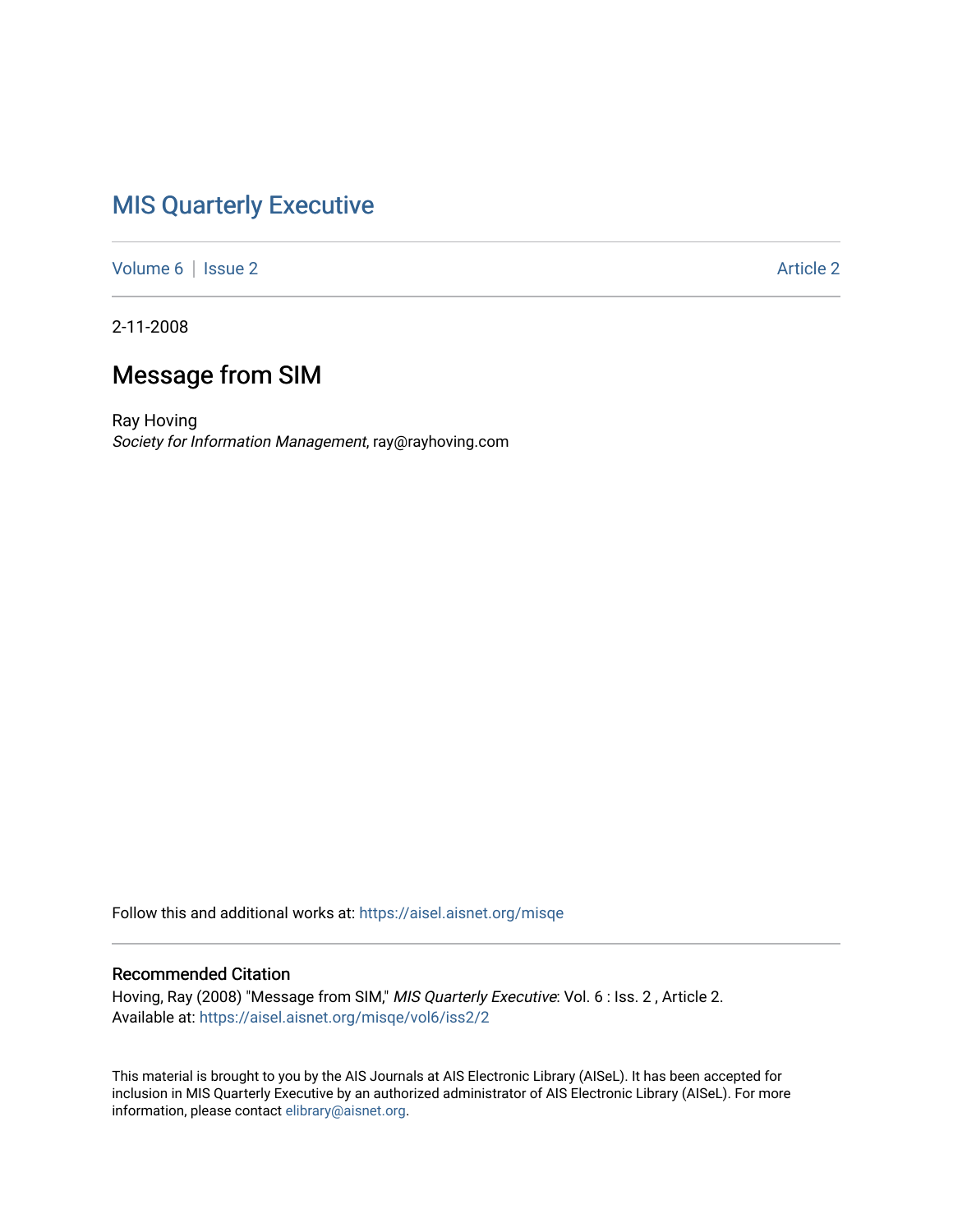## [MIS Quarterly Executive](https://aisel.aisnet.org/misqe)

[Volume 6](https://aisel.aisnet.org/misqe/vol6) | [Issue 2](https://aisel.aisnet.org/misqe/vol6/iss2) Article 2

2-11-2008

## Message from SIM

Ray Hoving Society for Information Management, ray@rayhoving.com

Follow this and additional works at: [https://aisel.aisnet.org/misqe](https://aisel.aisnet.org/misqe?utm_source=aisel.aisnet.org%2Fmisqe%2Fvol6%2Fiss2%2F2&utm_medium=PDF&utm_campaign=PDFCoverPages)

## Recommended Citation

Hoving, Ray (2008) "Message from SIM," MIS Quarterly Executive: Vol. 6 : Iss. 2 , Article 2. Available at: [https://aisel.aisnet.org/misqe/vol6/iss2/2](https://aisel.aisnet.org/misqe/vol6/iss2/2?utm_source=aisel.aisnet.org%2Fmisqe%2Fvol6%2Fiss2%2F2&utm_medium=PDF&utm_campaign=PDFCoverPages) 

This material is brought to you by the AIS Journals at AIS Electronic Library (AISeL). It has been accepted for inclusion in MIS Quarterly Executive by an authorized administrator of AIS Electronic Library (AISeL). For more information, please contact [elibrary@aisnet.org.](mailto:elibrary@aisnet.org%3E)